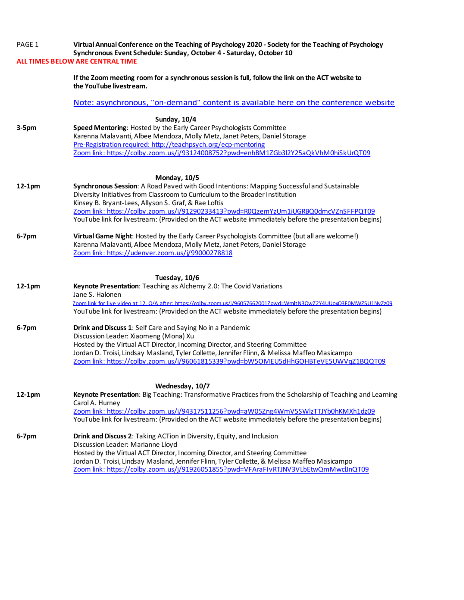| PAGE 1   | Virtual Annual Conference on the Teaching of Psychology 2020 - Society for the Teaching of Psychology<br>Synchronous Event Schedule: Sunday, October 4 - Saturday, October 10                |
|----------|----------------------------------------------------------------------------------------------------------------------------------------------------------------------------------------------|
|          | <b>ALL TIMES BELOW ARE CENTRAL TIME</b>                                                                                                                                                      |
|          | If the Zoom meeting room for a synchronous session is full, follow the link on the ACT website to<br>the YouTube livestream.                                                                 |
|          | Note: asynchronous, "on-demand" content is available here on the conterence website                                                                                                          |
|          | Sunday, 10/4                                                                                                                                                                                 |
| $3-5pm$  | Speed Mentoring: Hosted by the Early Career Psychologists Committee                                                                                                                          |
|          | Karenna Malavanti, Albee Mendoza, Molly Metz, Janet Peters, Daniel Storage                                                                                                                   |
|          | Pre-Registration required: http://teachpsych.org/ecp-mentoring<br>Zoom link: https://colby.zoom.us/j/93124008752?pwd=enhBM1ZGb3l2Y25aQkVhM0hiSkUrQT09                                        |
|          |                                                                                                                                                                                              |
|          | Monday, 10/5                                                                                                                                                                                 |
| $12-1pm$ | Synchronous Session: A Road Paved with Good Intentions: Mapping Successful and Sustainable                                                                                                   |
|          | Diversity Initiatives from Classroom to Curriculum to the Broader Institution                                                                                                                |
|          | Kinsey B. Bryant-Lees, Allyson S. Graf, & Rae Loftis                                                                                                                                         |
|          | Zoom link: https://colby.zoom.us/j/91290233413?pwd=R0QzemYzUm1iUGRBQ0dmcVZnSFFPQT09<br>YouTube link for livestream: (Provided on the ACT website immediately before the presentation begins) |
|          |                                                                                                                                                                                              |
| $6-7$ pm | Virtual Game Night: Hosted by the Early Career Psychologists Committee (but all are welcome!)                                                                                                |
|          | Karenna Malavanti, Albee Mendoza, Molly Metz, Janet Peters, Daniel Storage                                                                                                                   |
|          | Zoom link: https://udenver.zoom.us/j/99000278818                                                                                                                                             |
|          | Tuesday, 10/6                                                                                                                                                                                |
| 12-1pm   | Keynote Presentation: Teaching as Alchemy 2.0: The Covid Variations                                                                                                                          |
|          | Jane S. Halonen                                                                                                                                                                              |
|          | Zoom link for live video at 12, O/A after: https://colby.zoom.us/i/96057662001?pwd=WmltN3OwZ2Y4UUoxO3F0MWZSU1NvZz09                                                                          |
|          | YouTube link for livestream: (Provided on the ACT website immediately before the presentation begins)                                                                                        |
| 6-7pm    | Drink and Discuss 1: Self Care and Saying No in a Pandemic                                                                                                                                   |
|          | Discussion Leader: Xiaomeng (Mona) Xu                                                                                                                                                        |
|          | Hosted by the Virtual ACT Director, Incoming Director, and Steering Committee                                                                                                                |
|          | Jordan D. Troisi, Lindsay Masland, Tyler Collette, Jennifer Flinn, & Melissa Maffeo Masicampo<br>Zoom link: https://colby.zoom.us/j/96061815339?pwd=bW5OMEU5dHhGOHBTeVE5UWVqZ1BQQT09         |
|          |                                                                                                                                                                                              |
|          | Wednesday, 10/7                                                                                                                                                                              |
| 12-1pm   | Keynote Presentation: Big Teaching: Transformative Practices from the Scholarship of Teaching and Learning                                                                                   |
|          | Carol A. Hurney                                                                                                                                                                              |
|          | Zoom link: https://colby.zoom.us/j/94317511256?pwd=aW05Zng4WmV5SWlzTTJYb0hKMXh1dz09<br>YouTube link for livestream: (Provided on the ACT website immediately before the presentation begins) |
|          |                                                                                                                                                                                              |
| $6-7$ pm | Drink and Discuss 2: Taking ACTion in Diversity, Equity, and Inclusion                                                                                                                       |
|          | Discussion Leader: Marianne Lloyd                                                                                                                                                            |
|          | Hosted by the Virtual ACT Director, Incoming Director, and Steering Committee<br>Jordan D. Troisi, Lindsay Masland, Jennifer Flinn, Tyler Collette, & Melissa Maffeo Masicampo               |
|          | Zoom link: https://colby.zoom.us/j/91926051855?pwd=VFAraFIvRTJNV3VLbEtwQmMwclJnQT09                                                                                                          |